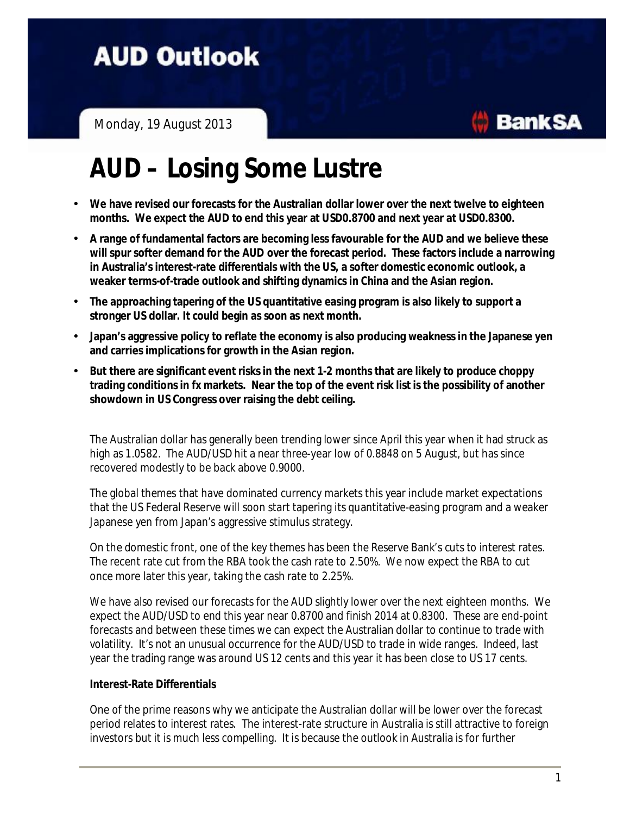**AUD Outlook** 

Monday, 19 August 2013

# **AUD – Losing Some Lustre**

- **We have revised our forecasts for the Australian dollar lower over the next twelve to eighteen months. We expect the AUD to end this year at USD0.8700 and next year at USD0.8300.**
- **A range of fundamental factors are becoming less favourable for the AUD and we believe these will spur softer demand for the AUD over the forecast period. These factors include a narrowing in Australia's interest-rate differentials with the US, a softer domestic economic outlook, a weaker terms-of-trade outlook and shifting dynamics in China and the Asian region.**
- **The approaching tapering of the US quantitative easing program is also likely to support a stronger US dollar. It could begin as soon as next month.**
- **Japan's aggressive policy to reflate the economy is also producing weaknessin the Japanese yen and carries implications for growth in the Asian region.**
- **But there are significant event risksin the next 1-2 months that are likely to produce choppy trading conditionsin fx markets. Near the top of the event risk list is the possibility of another showdown in US Congress over raising the debt ceiling.**

The Australian dollar has generally been trending lower since April this year when it had struck as high as 1.0582. The AUD/USD hit a near three-year low of 0.8848 on 5 August, but has since recovered modestly to be back above 0.9000.

The global themes that have dominated currency markets this year include market expectations that the US Federal Reserve will soon start tapering its quantitative-easing program and a weaker Japanese yen from Japan's aggressive stimulus strategy.

On the domestic front, one of the key themes has been the Reserve Bank's cuts to interest rates. The recent rate cut from the RBA took the cash rate to 2.50%. We now expect the RBA to cut once more later this year, taking the cash rate to 2.25%.

We have also revised our forecasts for the AUD slightly lower over the next eighteen months. We expect the AUD/USD to end this year near 0.8700 and finish 2014 at 0.8300. These are end-point forecasts and between these times we can expect the Australian dollar to continue to trade with volatility. It's not an unusual occurrence for the AUD/USD to trade in wide ranges. Indeed, last year the trading range was around US 12 cents and this year it has been close to US 17 cents.

#### **Interest-Rate Differentials**

One of the prime reasons why we anticipate the Australian dollar will be lower over the forecast period relates to interest rates. The interest-rate structure in Australia is still attractive to foreign investors but it is much less compelling. It is because the outlook in Australia is for further

**BankSA**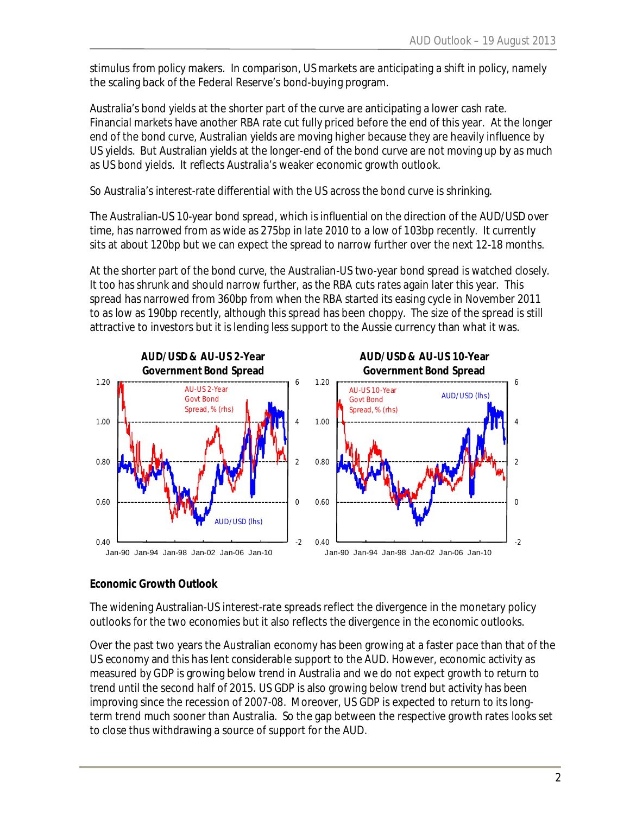stimulus from policy makers. In comparison, US markets are anticipating a shift in policy, namely the scaling back of the Federal Reserve's bond-buying program.

Australia's bond yields at the shorter part of the curve are anticipating a lower cash rate. Financial markets have another RBA rate cut fully priced before the end of this year. At the longer end of the bond curve, Australian yields are moving higher because they are heavily influence by US yields. But Australian yields at the longer-end of the bond curve are not moving up by as much as US bond yields. It reflects Australia's weaker economic growth outlook.

So Australia's interest-rate differential with the US across the bond curve is shrinking.

The Australian-US 10-year bond spread, which is influential on the direction of the AUD/USD over time, has narrowed from as wide as 275bp in late 2010 to a low of 103bp recently. It currently sits at about 120bp but we can expect the spread to narrow further over the next 12-18 months.

At the shorter part of the bond curve, the Australian-US two-year bond spread is watched closely. It too has shrunk and should narrow further, as the RBA cuts rates again later this year. This spread has narrowed from 360bp from when the RBA started its easing cycle in November 2011 to as low as 190bp recently, although this spread has been choppy. The size of the spread is still attractive to investors but it is lending less support to the Aussie currency than what it was.



### **Economic Growth Outlook**

The widening Australian-US interest-rate spreads reflect the divergence in the monetary policy outlooks for the two economies but it also reflects the divergence in the economic outlooks.

Over the past two years the Australian economy has been growing at a faster pace than that of the US economy and this has lent considerable support to the AUD. However, economic activity as measured by GDP is growing below trend in Australia and we do not expect growth to return to trend until the second half of 2015. US GDP is also growing below trend but activity has been improving since the recession of 2007-08. Moreover, US GDP is expected to return to its longterm trend much sooner than Australia. So the gap between the respective growth rates looks set to close thus withdrawing a source of support for the AUD.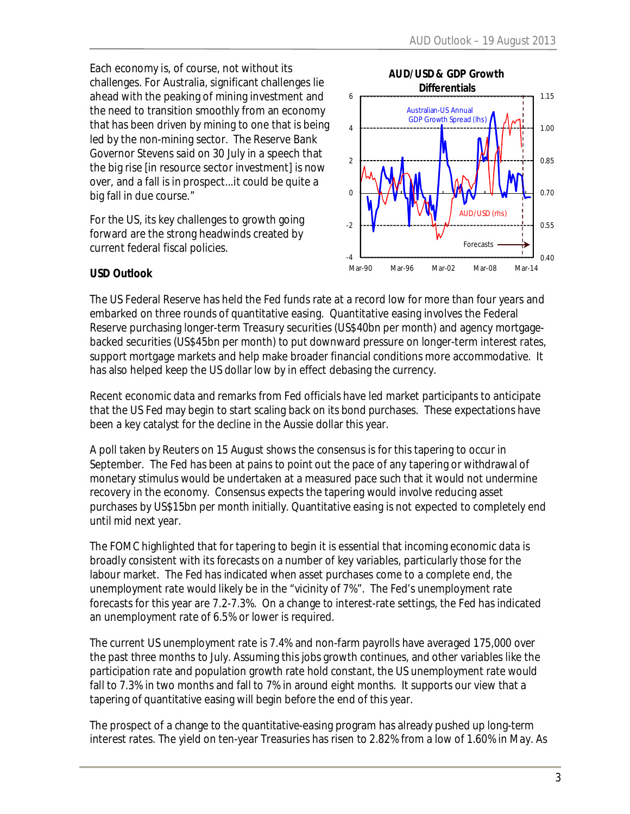Each economy is, of course, not without its challenges. For Australia, significant challenges lie ahead with the peaking of mining investment and the need to transition smoothly from an economy that has been driven by mining to one that is being led by the non-mining sector. The Reserve Bank Governor Stevens said on 30 July in a speech that the big rise [in resource sector investment] is now over, and a fall is in prospect...it could be quite a big fall in due course."

For the US, its key challenges to growth going forward are the strong headwinds created by current federal fiscal policies.



#### **USD Outlook**

The US Federal Reserve has held the Fed funds rate at a record low for more than four years and embarked on three rounds of quantitative easing. Quantitative easing involves the Federal Reserve purchasing longer-term Treasury securities (US\$40bn per month) and agency mortgagebacked securities (US\$45bn per month) to put downward pressure on longer-term interest rates, support mortgage markets and help make broader financial conditions more accommodative. It has also helped keep the US dollar low by in effect debasing the currency.

Recent economic data and remarks from Fed officials have led market participants to anticipate that the US Fed may begin to start scaling back on its bond purchases. These expectations have been a key catalyst for the decline in the Aussie dollar this year.

A poll taken by Reuters on 15 August shows the consensus is for this tapering to occur in September. The Fed has been at pains to point out the pace of any tapering or withdrawal of monetary stimulus would be undertaken at a measured pace such that it would not undermine recovery in the economy. Consensus expects the tapering would involve reducing asset purchases by US\$15bn per month initially. Quantitative easing is not expected to completely end until mid next year.

The FOMC highlighted that for tapering to begin it is essential that incoming economic data is broadly consistent with its forecasts on a number of key variables, particularly those for the labour market. The Fed has indicated when asset purchases come to a complete end, the unemployment rate would likely be in the "vicinity of 7%". The Fed's unemployment rate forecasts for this year are 7.2-7.3%. On a change to interest-rate settings, the Fed has indicated an unemployment rate of 6.5% or lower is required.

The current US unemployment rate is 7.4% and non-farm payrolls have averaged 175,000 over the past three months to July. Assuming this jobs growth continues, and other variables like the participation rate and population growth rate hold constant, the US unemployment rate would fall to 7.3% in two months and fall to 7% in around eight months. It supports our view that a tapering of quantitative easing will begin before the end of this year.

The prospect of a change to the quantitative-easing program has already pushed up long-term interest rates. The yield on ten-year Treasuries has risen to 2.82% from a low of 1.60% in May. As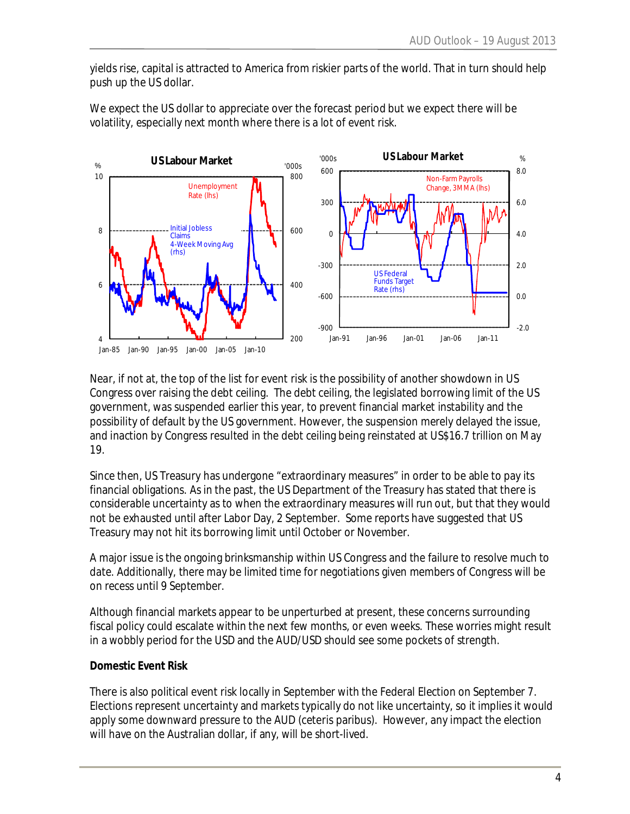yields rise, capital is attracted to America from riskier parts of the world. That in turn should help push up the US dollar.





Near, if not at, the top of the list for event risk is the possibility of another showdown in US Congress over raising the debt ceiling. The debt ceiling, the legislated borrowing limit of the US government, was suspended earlier this year, to prevent financial market instability and the possibility of default by the US government. However, the suspension merely delayed the issue, and inaction by Congress resulted in the debt ceiling being reinstated at US\$16.7 trillion on May 19.

Since then, US Treasury has undergone "extraordinary measures" in order to be able to pay its financial obligations. As in the past, the US Department of the Treasury has stated that there is considerable uncertainty as to when the extraordinary measures will run out, but that they would not be exhausted until after Labor Day, 2 September. Some reports have suggested that US Treasury may not hit its borrowing limit until October or November.

A major issue is the ongoing brinksmanship within US Congress and the failure to resolve much to date. Additionally, there may be limited time for negotiations given members of Congress will be on recess until 9 September.

Although financial markets appear to be unperturbed at present, these concerns surrounding fiscal policy could escalate within the next few months, or even weeks. These worries might result in a wobbly period for the USD and the AUD/USD should see some pockets of strength.

#### **Domestic Event Risk**

There is also political event risk locally in September with the Federal Election on September 7. Elections represent uncertainty and markets typically do not like uncertainty, so it implies it would apply some downward pressure to the AUD (ceteris paribus). However, any impact the election will have on the Australian dollar, if any, will be short-lived.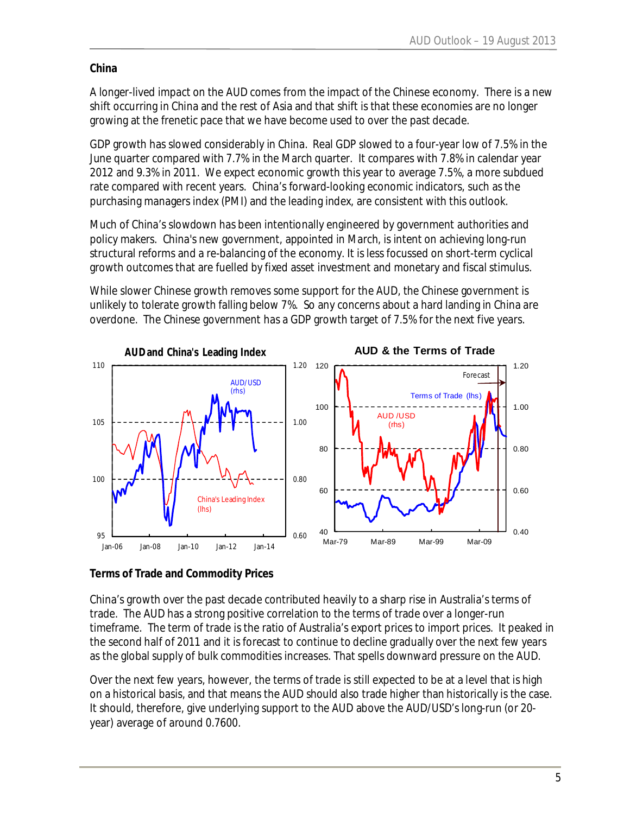## **China**

A longer-lived impact on the AUD comes from the impact of the Chinese economy. There is a new shift occurring in China and the rest of Asia and that shift is that these economies are no longer growing at the frenetic pace that we have become used to over the past decade.

GDP growth has slowed considerably in China. Real GDP slowed to a four-year low of 7.5% in the June quarter compared with 7.7% in the March quarter. It compares with 7.8% in calendar year 2012 and 9.3% in 2011. We expect economic growth this year to average 7.5%, a more subdued rate compared with recent years. China's forward-looking economic indicators, such as the purchasing managers index (PMI) and the leading index, are consistent with this outlook.

Much of China's slowdown has been intentionally engineered by government authorities and policy makers. China's new government, appointed in March, is intent on achieving long-run structural reforms and a re-balancing of the economy. It is less focussed on short-term cyclical growth outcomes that are fuelled by fixed asset investment and monetary and fiscal stimulus.

While slower Chinese growth removes some support for the AUD, the Chinese government is unlikely to tolerate growth falling below 7%. So any concerns about a hard landing in China are overdone. The Chinese government has a GDP growth target of 7.5% for the next five years.



**Terms of Trade and Commodity Prices** 

China's growth over the past decade contributed heavily to a sharp rise in Australia's terms of trade. The AUD has a strong positive correlation to the terms of trade over a longer-run timeframe. The term of trade is the ratio of Australia's export prices to import prices. It peaked in the second half of 2011 and it is forecast to continue to decline gradually over the next few years as the global supply of bulk commodities increases. That spells downward pressure on the AUD.

Over the next few years, however, the terms of trade is still expected to be at a level that is high on a historical basis, and that means the AUD should also trade higher than historically is the case. It should, therefore, give underlying support to the AUD above the AUD/USD's long-run (or 20 year) average of around 0.7600.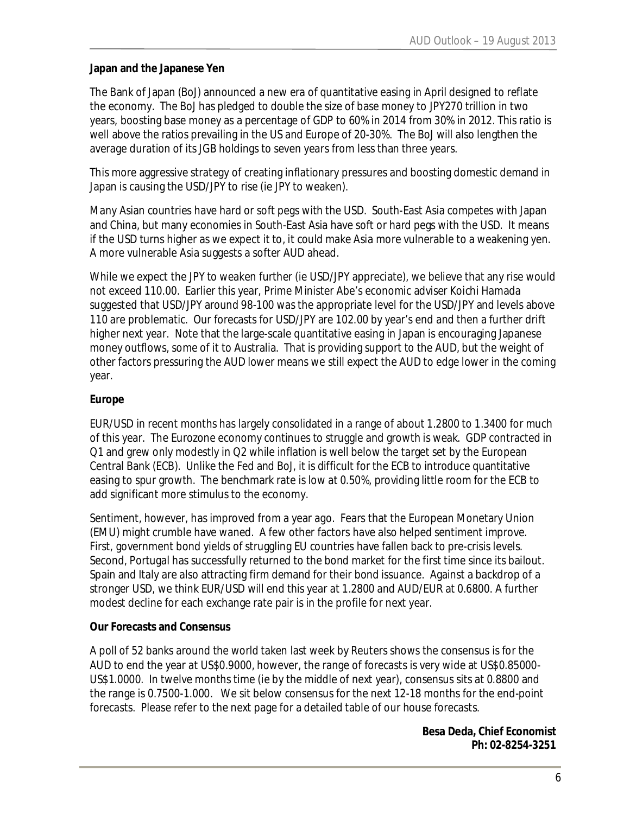### **Japan and the Japanese Yen**

The Bank of Japan (BoJ) announced a new era of quantitative easing in April designed to reflate the economy. The BoJ has pledged to double the size of base money to JPY270 trillion in two years, boosting base money as a percentage of GDP to 60% in 2014 from 30% in 2012. This ratio is well above the ratios prevailing in the US and Europe of 20-30%. The BoJ will also lengthen the average duration of its JGB holdings to seven years from less than three years.

This more aggressive strategy of creating inflationary pressures and boosting domestic demand in Japan is causing the USD/JPY to rise (ie JPY to weaken).

Many Asian countries have hard or soft pegs with the USD. South-East Asia competes with Japan and China, but many economies in South-East Asia have soft or hard pegs with the USD. It means if the USD turns higher as we expect it to, it could make Asia more vulnerable to a weakening yen. A more vulnerable Asia suggests a softer AUD ahead.

While we expect the JPY to weaken further (ie USD/JPY appreciate), we believe that any rise would not exceed 110.00. Earlier this year, Prime Minister Abe's economic adviser Koichi Hamada suggested that USD/JPY around 98-100 was the appropriate level for the USD/JPY and levels above 110 are problematic. Our forecasts for USD/JPY are 102.00 by year's end and then a further drift higher next year. Note that the large-scale quantitative easing in Japan is encouraging Japanese money outflows, some of it to Australia. That is providing support to the AUD, but the weight of other factors pressuring the AUD lower means we still expect the AUD to edge lower in the coming year.

### **Europe**

EUR/USD in recent months has largely consolidated in a range of about 1.2800 to 1.3400 for much of this year. The Eurozone economy continues to struggle and growth is weak. GDP contracted in Q1 and grew only modestly in Q2 while inflation is well below the target set by the European Central Bank (ECB). Unlike the Fed and BoJ, it is difficult for the ECB to introduce quantitative easing to spur growth. The benchmark rate is low at 0.50%, providing little room for the ECB to add significant more stimulus to the economy.

Sentiment, however, has improved from a year ago. Fears that the European Monetary Union (EMU) might crumble have waned. A few other factors have also helped sentiment improve. First, government bond yields of struggling EU countries have fallen back to pre-crisis levels. Second, Portugal has successfully returned to the bond market for the first time since its bailout. Spain and Italy are also attracting firm demand for their bond issuance. Against a backdrop of a stronger USD, we think EUR/USD will end this year at 1.2800 and AUD/EUR at 0.6800. A further modest decline for each exchange rate pair is in the profile for next year.

### **Our Forecasts and Consensus**

A poll of 52 banks around the world taken last week by Reuters shows the consensus is for the AUD to end the year at US\$0.9000, however, the range of forecasts is very wide at US\$0.85000- US\$1.0000. In twelve months time (ie by the middle of next year), consensus sits at 0.8800 and the range is 0.7500-1.000. We sit below consensus for the next 12-18 months for the end-point forecasts. Please refer to the next page for a detailed table of our house forecasts.

> **Besa Deda, Chief Economist Ph: 02-8254-3251**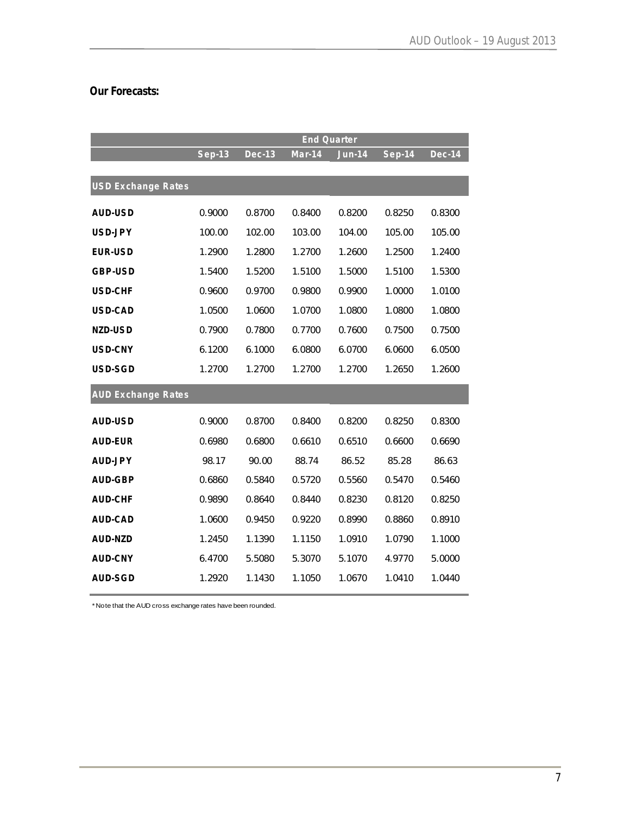# **Our Forecasts:**

|                           |          | <b>End Quarter</b> |          |               |          |               |  |
|---------------------------|----------|--------------------|----------|---------------|----------|---------------|--|
|                           | $Sep-13$ | <b>Dec-13</b>      | $Man-14$ | <b>Jun-14</b> | $Sep-14$ | <b>Dec-14</b> |  |
|                           |          |                    |          |               |          |               |  |
| <b>USD Exchange Rates</b> |          |                    |          |               |          |               |  |
| AUD-USD                   | 0.9000   | 0.8700             | 0.8400   | 0.8200        | 0.8250   | 0.8300        |  |
| USD-JPY                   | 100.00   | 102.00             | 103.00   | 104.00        | 105.00   | 105.00        |  |
| <b>EUR-USD</b>            | 1.2900   | 1.2800             | 1.2700   | 1.2600        | 1.2500   | 1.2400        |  |
| GBP-USD                   | 1.5400   | 1.5200             | 1.5100   | 1.5000        | 1.5100   | 1.5300        |  |
| <b>USD-CHF</b>            | 0.9600   | 0.9700             | 0.9800   | 0.9900        | 1.0000   | 1.0100        |  |
| USD-CAD                   | 1.0500   | 1.0600             | 1.0700   | 1.0800        | 1.0800   | 1.0800        |  |
| NZD-USD                   | 0.7900   | 0.7800             | 0.7700   | 0.7600        | 0.7500   | 0.7500        |  |
| USD-CNY                   | 6.1200   | 6.1000             | 6.0800   | 6.0700        | 6.0600   | 6.0500        |  |
| USD-SGD                   | 1.2700   | 1.2700             | 1.2700   | 1.2700        | 1.2650   | 1.2600        |  |
| <b>AUD Exchange Rates</b> |          |                    |          |               |          |               |  |
| AUD-USD                   | 0.9000   | 0.8700             | 0.8400   | 0.8200        | 0.8250   | 0.8300        |  |
| <b>AUD-EUR</b>            | 0.6980   | 0.6800             | 0.6610   | 0.6510        | 0.6600   | 0.6690        |  |
| <b>AUD-JPY</b>            | 98.17    | 90.00              | 88.74    | 86.52         | 85.28    | 86.63         |  |
| AUD-GBP                   | 0.6860   | 0.5840             | 0.5720   | 0.5560        | 0.5470   | 0.5460        |  |
| <b>AUD-CHF</b>            | 0.9890   | 0.8640             | 0.8440   | 0.8230        | 0.8120   | 0.8250        |  |
| AUD-CAD                   | 1.0600   | 0.9450             | 0.9220   | 0.8990        | 0.8860   | 0.8910        |  |
| AUD-NZD                   | 1.2450   | 1.1390             | 1.1150   | 1.0910        | 1.0790   | 1.1000        |  |
| <b>AUD-CNY</b>            | 6.4700   | 5.5080             | 5.3070   | 5.1070        | 4.9770   | 5.0000        |  |
| AUD-SGD                   | 1.2920   | 1.1430             | 1.1050   | 1.0670        | 1.0410   | 1.0440        |  |

\*Note that the AUD cross exchange rates have been rounded.